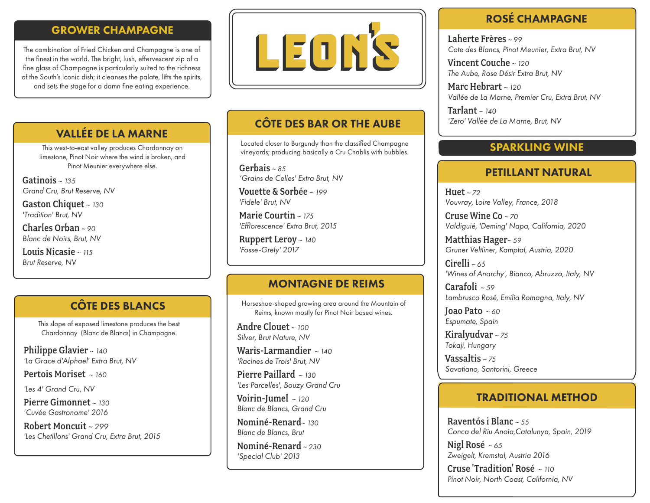# GROWER CHAMPAGNE

The combination of Fried Chicken and Champagne is one of the finest in the world. The bright, lush, effervescent zip of a fine glass of Champagne is particularly suited to the richness of the South's iconic dish; it cleanses the palate, lifts the spirits, and sets the stage for a damn fine eating experience.



# VALLÉE DE LA MARNE

This west-to-east valley produces Chardonnay on limestone, Pinot Noir where the wind is broken, and Pinot Meunier everywhere else.

Gatinois *~ 135 Grand Cru, Brut Reserve, NV*

Gaston Chiquet *~ 130 'Tradition' Brut, NV*

Charles Orban *~ 90 Blanc de Noirs, Brut, NV*

Louis Nicasie *~ 115 Brut Reserve, NV*

CÔTE DES BLANCS

This slope of exposed limestone produces the best Chardonnay (Blanc de Blancs) in Champagne.

Philippe Glavier *~ 140 'La Grace d'Alphael' Extra Brut, NV* 

Pertois Moriset *~ 160*

*'Les 4' Grand Cru, NV*

Pierre Gimonnet *~ 130 'Cuvée Gastronome' 2016*

Robert Moncuit *~ 299 'Les Chetillons' Grand Cru, Extra Brut, 2015* 

# CÔTE DES BAR OR THE AUBE

Located closer to Burgundy than the classified Champagne vineyards; producing basically a Cru Chablis with bubbles.

Gerbais *~ 85 'Grains de Celles' Extra Brut, NV*

Vouette & Sorbée *~ 199 'Fidele' Brut, NV*

Marie Courtin *~ 175 'Efflorescence' Extra Brut, 2015*

Ruppert Leroy *~ 140 'Fosse-Grely' 2017*

## MONTAGNE DE REIMS

Horseshoe-shaped growing area around the Mountain of Reims, known mostly for Pinot Noir based wines.

Andre Clouet *~ 100 Silver, Brut Nature, NV*

Waris-Larmandier *~ 140 'Racines de Trois' Brut, NV*

Pierre Paillard *~ 130 'Les Parcelles', Bouzy Grand Cru*

Voirin-Jumel *~ 120 Blanc de Blancs, Grand Cru*

Nominé-Renard*~ 130 Blanc de Blancs, Brut*

Nominé-Renard *~ 230 'Special Club' 2013*

# ROSÉ CHAMPAGNE

Laherte Frères *~ 99 Cote des Blancs, Pinot Meunier, Extra Brut, NV*

Vincent Couche *~ 120 The Aube, Rose Désir Extra Brut, NV*

Marc Hebrart *~ 120 Vallée de La Marne, Premier Cru, Extra Brut, NV*

Tarlant *~ 140 'Zero' Vallée de La Marne, Brut, NV*

## SPARKLING WINE

## PETILLANT NATURAL

Huet *~ 72 Vouvray, Loire Valley, France, 2018*

Cruse Wine Co *~ 70 Valdiguié, 'Deming' Napa, California, 2020*

Matthias Hager*~ 59 Gruner Veltliner, Kamptal, Austria, 2020*

Cirelli *~ 65 'Wines of Anarchy', Bianco, Abruzzo, Italy, NV*

Carafoli *~ 59 Lambrusco Rosé, Emilia Romagna, Italy, NV*

Joao Pato *~ 60 Espumate, Spain*

Kiralyudvar *~ 75 Tokaji, Hungary*

Vassaltis *~ 75 Savatiano, Santorini, Greece*

## TRADITIONAL METHOD

Raventós i Blanc *~ 55 Conca del Riu Anoia,Catalunya, Spain, 2019*

Nigl Rosé *~ 65 Zweigelt, Kremstal, Austria 2016* 

Cruse 'Tradition' Rosé *~ 110 Pinot Noir, North Coast, California, NV*